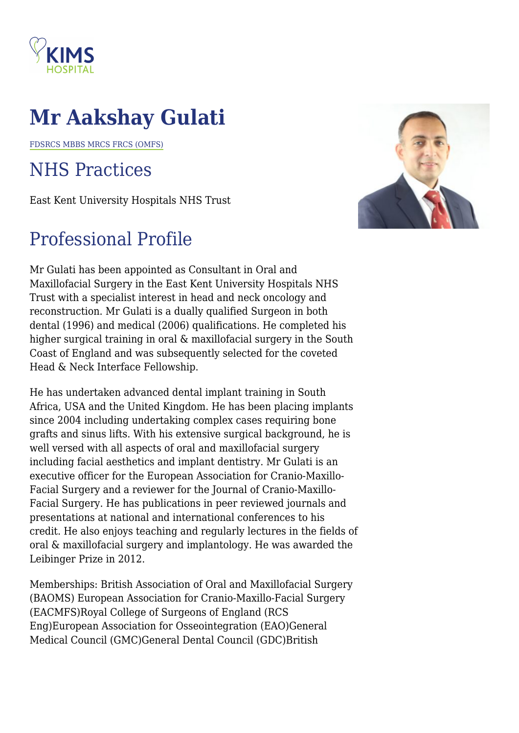

## **Mr Aakshay Gulati**

FDSRCS MBBS MRCS FRCS (OMFS)

## NHS Practices

East Kent University Hospitals NHS Trust

## Professional Profile

Mr Gulati has been appointed as Consultant in Oral and Maxillofacial Surgery in the East Kent University Hospitals NHS Trust with a specialist interest in head and neck oncology and reconstruction. Mr Gulati is a dually qualified Surgeon in both dental (1996) and medical (2006) qualifications. He completed his higher surgical training in oral & maxillofacial surgery in the South Coast of England and was subsequently selected for the coveted Head & Neck Interface Fellowship.

He has undertaken advanced dental implant training in South Africa, USA and the United Kingdom. He has been placing implants since 2004 including undertaking complex cases requiring bone grafts and sinus lifts. With his extensive surgical background, he is well versed with all aspects of oral and maxillofacial surgery including facial aesthetics and implant dentistry. Mr Gulati is an executive officer for the European Association for Cranio-Maxillo-Facial Surgery and a reviewer for the Journal of Cranio-Maxillo-Facial Surgery. He has publications in peer reviewed journals and presentations at national and international conferences to his credit. He also enjoys teaching and regularly lectures in the fields of oral & maxillofacial surgery and implantology. He was awarded the Leibinger Prize in 2012.

Memberships: British Association of Oral and Maxillofacial Surgery (BAOMS) European Association for Cranio-Maxillo-Facial Surgery (EACMFS)Royal College of Surgeons of England (RCS Eng)European Association for Osseointegration (EAO)General Medical Council (GMC)General Dental Council (GDC)British